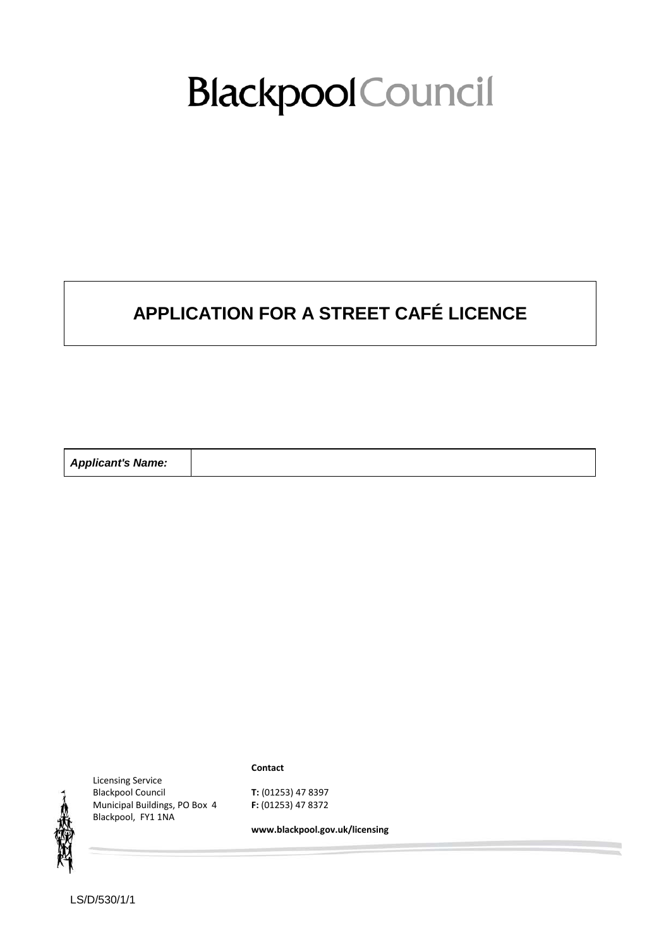# **Blackpool** Council

# **APPLICATION FOR A STREET CAFÉ LICENCE**

| <b>Applicant's Name:</b> |  |
|--------------------------|--|
|--------------------------|--|



Licensing Service Blackpool Council Municipal Buildings, PO Box 4 Blackpool, FY1 1NA

**Contact**

**T:** (01253) 47 8397 **F:** (01253) 47 8372

**www.blackpool.gov.uk/licensing**

LS/D/530/1/1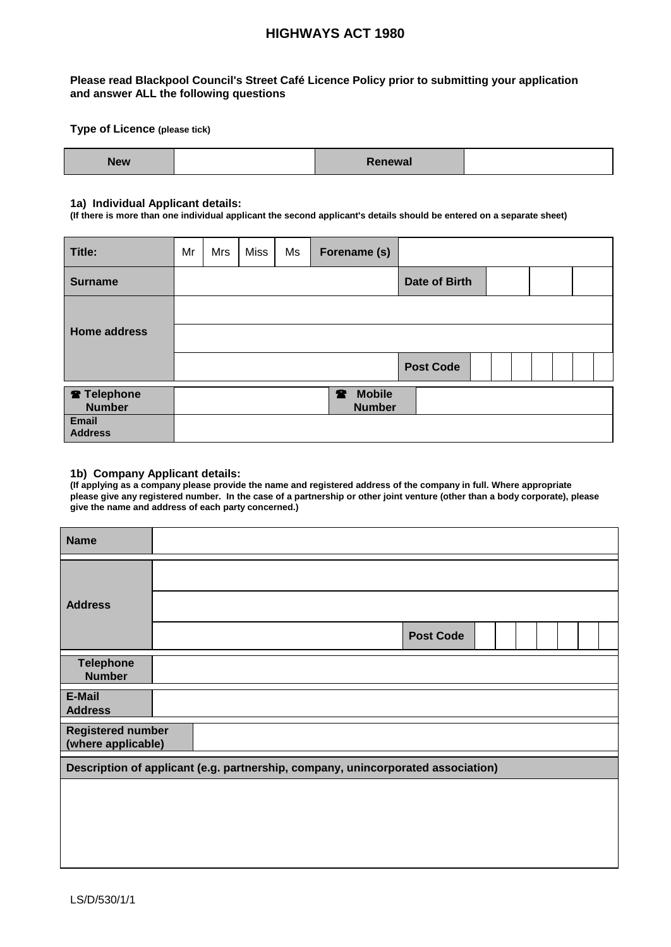# **HIGHWAYS ACT 1980**

#### **Please read Blackpool Council's Street Café Licence Policy prior to submitting your application and answer ALL the following questions**

#### **Type of Licence (please tick)**

| . .<br>$- - -$<br>new | Renewal |  |
|-----------------------|---------|--|
|-----------------------|---------|--|

#### **1a) Individual Applicant details:**

**(If there is more than one individual applicant the second applicant's details should be entered on a separate sheet)**

| Title:                                  | Mr | Mrs | <b>Miss</b> | Ms | Forename (s)                     |                      |  |  |
|-----------------------------------------|----|-----|-------------|----|----------------------------------|----------------------|--|--|
| <b>Surname</b>                          |    |     |             |    |                                  | <b>Date of Birth</b> |  |  |
|                                         |    |     |             |    |                                  |                      |  |  |
| <b>Home address</b>                     |    |     |             |    |                                  |                      |  |  |
|                                         |    |     |             |    |                                  | <b>Post Code</b>     |  |  |
| <sup>2</sup> Telephone<br><b>Number</b> |    |     |             |    | <b>2</b> Mobile<br><b>Number</b> |                      |  |  |
| <b>Email</b><br><b>Address</b>          |    |     |             |    |                                  |                      |  |  |

#### **1b) Company Applicant details:**

**(If applying as a company please provide the name and registered address of the company in full. Where appropriate please give any registered number. In the case of a partnership or other joint venture (other than a body corporate), please give the name and address of each party concerned.)**

| <b>Name</b>                                                                      |  |  |  |                  |  |  |  |  |
|----------------------------------------------------------------------------------|--|--|--|------------------|--|--|--|--|
|                                                                                  |  |  |  |                  |  |  |  |  |
| <b>Address</b>                                                                   |  |  |  |                  |  |  |  |  |
|                                                                                  |  |  |  | <b>Post Code</b> |  |  |  |  |
| <b>Telephone</b><br><b>Number</b>                                                |  |  |  |                  |  |  |  |  |
| E-Mail<br><b>Address</b>                                                         |  |  |  |                  |  |  |  |  |
| <b>Registered number</b><br>(where applicable)                                   |  |  |  |                  |  |  |  |  |
| Description of applicant (e.g. partnership, company, unincorporated association) |  |  |  |                  |  |  |  |  |
|                                                                                  |  |  |  |                  |  |  |  |  |
|                                                                                  |  |  |  |                  |  |  |  |  |
|                                                                                  |  |  |  |                  |  |  |  |  |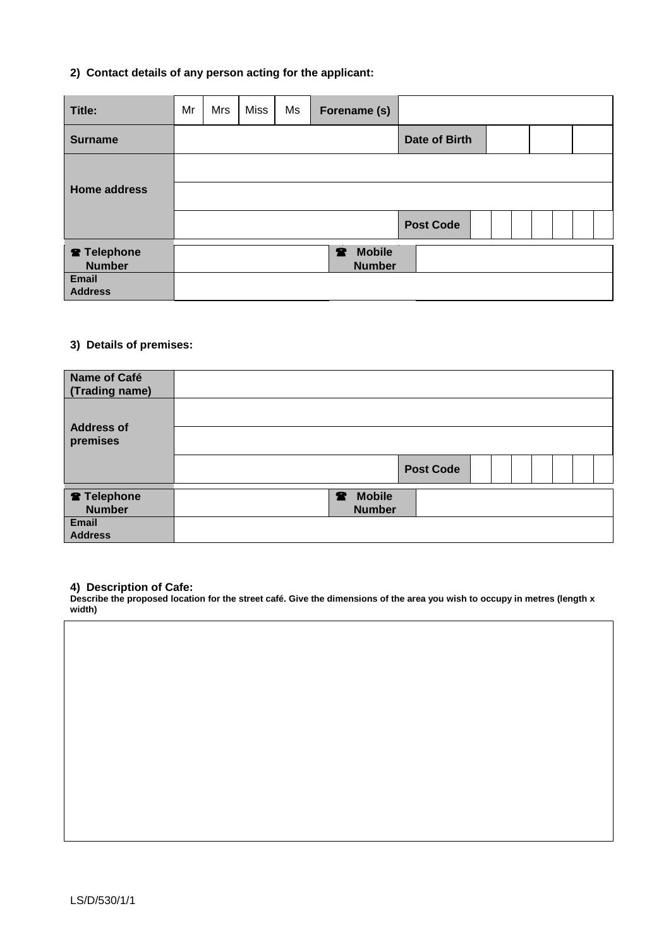#### **2) Contact details of any person acting for the applicant:**

| Title:                                                             | Mr | Mrs | Miss | Ms | Forename (s)                     |                      |  |  |
|--------------------------------------------------------------------|----|-----|------|----|----------------------------------|----------------------|--|--|
| <b>Surname</b>                                                     |    |     |      |    |                                  | <b>Date of Birth</b> |  |  |
| <b>Home address</b>                                                |    |     |      |    |                                  | <b>Post Code</b>     |  |  |
| <sup>2</sup> Telephone<br><b>Number</b><br>Email<br><b>Address</b> |    |     |      |    | <b>2</b> Mobile<br><b>Number</b> |                      |  |  |

#### **3) Details of premises:**

| Name of Café<br>(Trading name) |                 |                  |  |  |  |
|--------------------------------|-----------------|------------------|--|--|--|
| <b>Address of</b>              |                 |                  |  |  |  |
| premises                       |                 |                  |  |  |  |
|                                |                 | <b>Post Code</b> |  |  |  |
| <b>R</b> Telephone             | <b>2</b> Mobile |                  |  |  |  |
| <b>Number</b>                  | <b>Number</b>   |                  |  |  |  |
| Email<br><b>Address</b>        |                 |                  |  |  |  |

#### **4) Description of Cafe:**

**Describe the proposed location for the street café. Give the dimensions of the area you wish to occupy in metres (length x width)**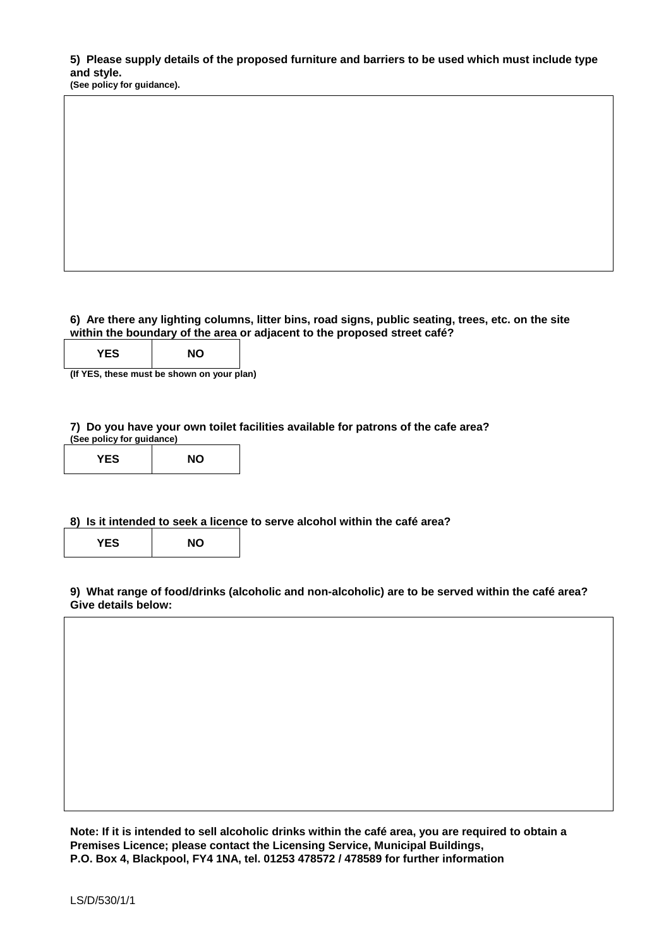**5) Please supply details of the proposed furniture and barriers to be used which must include type** 

**(See policy for guidance).** 

**6) Are there any lighting columns, litter bins, road signs, public seating, trees, etc. on the site within the boundary of the area or adjacent to the proposed street café?**

| <b>′ES</b> | <b>NO</b> |
|------------|-----------|
|------------|-----------|

**(If YES, these must be shown on your plan)**

**7) Do you have your own toilet facilities available for patrons of the cafe area? (See policy for guidance)**

| <b>YES</b> | <b>NO</b> |
|------------|-----------|
|------------|-----------|

#### **8) Is it intended to seek a licence to serve alcohol within the café area?**

| <b>YES</b> | ΝO |
|------------|----|
|            |    |

**9) What range of food/drinks (alcoholic and non-alcoholic) are to be served within the café area? Give details below:**

**Note: If it is intended to sell alcoholic drinks within the café area, you are required to obtain a Premises Licence; please contact the Licensing Service, Municipal Buildings, P.O. Box 4, Blackpool, FY4 1NA, tel. 01253 478572 / 478589 for further information**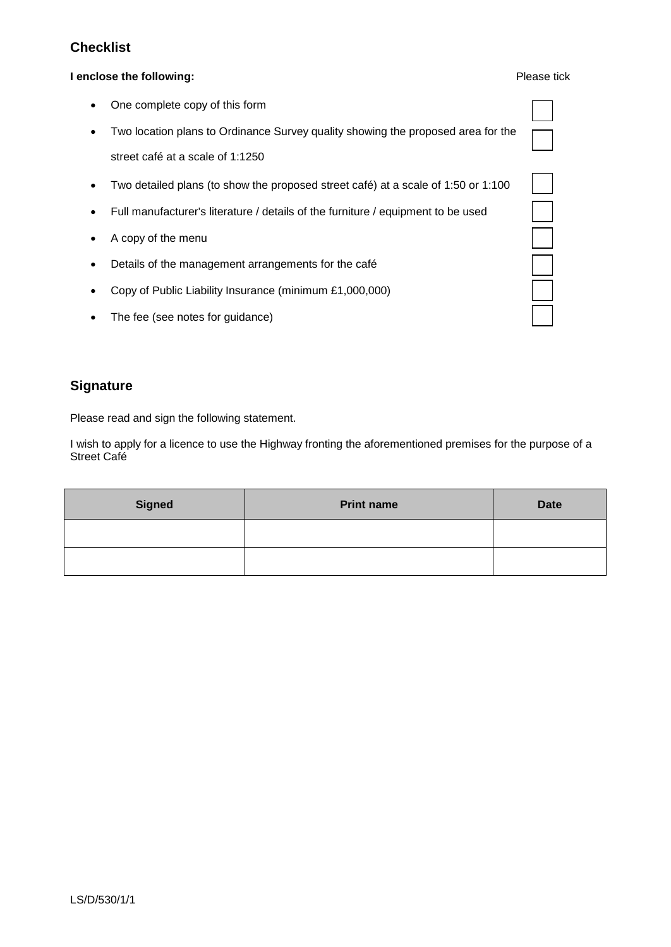# **Checklist**

#### **I enclose the following:** Please tick

| $\bullet$ | One complete copy of this form |
|-----------|--------------------------------|
|-----------|--------------------------------|

- Two location plans to Ordinance Survey quality showing the proposed area for the street café at a scale of 1:1250
- Two detailed plans (to show the proposed street café) at a scale of 1:50 or 1:100
- Full manufacturer's literature / details of the furniture / equipment to be used
- A copy of the menu
- Details of the management arrangements for the café
- Copy of Public Liability Insurance (minimum £1,000,000)
- The fee (see notes for guidance)

## **Signature**

Please read and sign the following statement.

I wish to apply for a licence to use the Highway fronting the aforementioned premises for the purpose of a Street Café

| <b>Signed</b> | <b>Print name</b> | <b>Date</b> |
|---------------|-------------------|-------------|
|               |                   |             |
|               |                   |             |